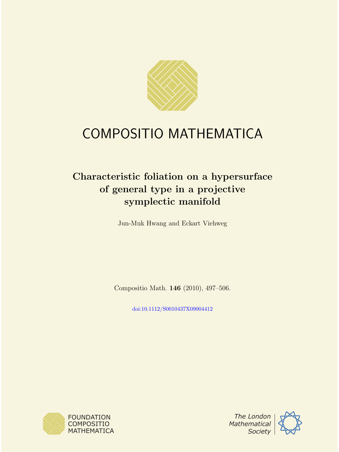

# COMPOSITIO MATHEMATICA

# Characteristic foliation on a hypersurface of general type in a projective symplectic manifold

Jun-Muk Hwang and Eckart Viehweg

Compositio Math. 146 (2010), 497–506.

[doi:10.1112/S0010437X09004412](http://dx.doi.org/10.1112/S0010437X09004412)





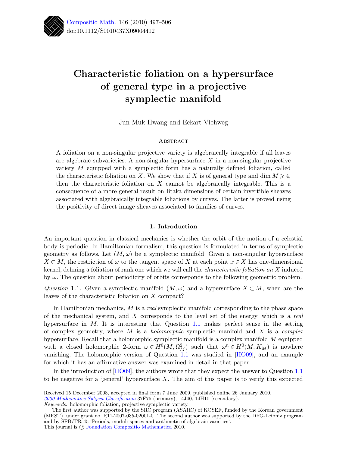

# Characteristic foliation on a hypersurface of general type in a projective symplectic manifold

Jun-Muk Hwang and Eckart Viehweg

# **ABSTRACT**

A foliation on a non-singular projective variety is algebraically integrable if all leaves are algebraic subvarieties. A non-singular hypersurface  $X$  in a non-singular projective variety  $M$  equipped with a symplectic form has a naturally defined foliation, called the characteristic foliation on X. We show that if X is of general type and dim  $M \geq 4$ , then the characteristic foliation on  $X$  cannot be algebraically integrable. This is a consequence of a more general result on Iitaka dimensions of certain invertible sheaves associated with algebraically integrable foliations by curves. The latter is proved using the positivity of direct image sheaves associated to families of curves.

## 1. Introduction

An important question in classical mechanics is whether the orbit of the motion of a celestial body is periodic. In Hamiltonian formalism, this question is formulated in terms of symplectic geometry as follows. Let  $(M, \omega)$  be a symplectic manifold. Given a non-singular hypersurface  $X \subset M$ , the restriction of  $\omega$  to the tangent space of X at each point  $x \in X$  has one-dimensional kernel, defining a foliation of rank one which we will call the characteristic foliation on X induced by  $\omega$ . The question about periodicity of orbits corresponds to the following geometric problem.

<span id="page-1-0"></span>Question 1.1. Given a symplectic manifold  $(M, \omega)$  and a hypersurface  $X \subset M$ , when are the leaves of the characteristic foliation on X compact?

In Hamiltonian mechanics,  $M$  is a *real* symplectic manifold corresponding to the phase space of the mechanical system, and  $X$  corresponds to the level set of the energy, which is a real hypersurface in  $M$ . It is interesting that Question [1.1](#page-1-0) makes perfect sense in the setting of complex geometry, where  $M$  is a *holomorphic* symplectic manifold and  $X$  is a *complex* hypersurface. Recall that a holomorphic symplectic manifold is a complex manifold M equipped with a closed holomorphic 2-form  $\omega \in H^0(M, \Omega_M^2)$  such that  $\omega^n \in H^0(M, K_M)$  is nowhere vanishing. The holomorphic version of Question [1.1](#page-1-0) was studied in [\[HO09\]](#page-10-0), and an example for which it has an affirmative answer was examined in detail in that paper.

In the introduction of [\[HO09\]](#page-10-0), the authors wrote that they expect the answer to Question [1.1](#page-1-0) to be negative for a 'general' hypersurface  $X$ . The aim of this paper is to verify this expected

Received 15 December 2008, accepted in final form 7 June 2009, published online 26 January 2010. [2000 Mathematics Subject Classification](http://www.ams.org/msc/) 37F75 (primary), 14J40, 14H10 (secondary). Keywords: holomorphic foliation, projective symplectic variety.

The first author was supported by the SRC program (ASARC) of KOSEF, funded by the Korean government (MEST), under grant no. R11-2007-035-02001-0. The second author was supported by the DFG-Leibniz program and by SFB/TR 45 'Periods, moduli spaces and arithmetic of algebraic varieties'. This journal is  $\odot$  [Foundation Compositio Mathematica](http://www.compositio.nl) 2010.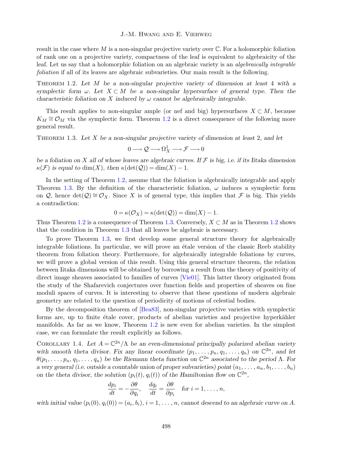result in the case where M is a non-singular projective variety over  $\mathbb C$ . For a holomorphic foliation of rank one on a projective variety, compactness of the leaf is equivalent to algebraicity of the leaf. Let us say that a holomorphic foliation on an algebraic variety is an algebraically integrable foliation if all of its leaves are algebraic subvarieties. Our main result is the following.

<span id="page-2-0"></span>Theorem 1.2. Let M be a non-singular projective variety of dimension at least 4 with a symplectic form  $\omega$ . Let  $X \subset M$  be a non-singular hypersurface of general type. Then the characteristic foliation on X induced by  $\omega$  cannot be algebraically integrable.

This result applies to non-singular ample (or nef and big) hypersurfaces  $X \subset M$ , because  $K_M \cong \mathcal{O}_M$  via the symplectic form. Theorem [1.2](#page-2-0) is a direct consequence of the following more general result.

<span id="page-2-1"></span>THEOREM 1.3. Let X be a non-singular projective variety of dimension at least 2, and let

$$
0 \longrightarrow \mathcal{Q} \longrightarrow \Omega^1_X \longrightarrow \mathcal{F} \longrightarrow 0
$$

be a foliation on X all of whose leaves are algebraic curves. If  $\mathcal F$  is big, i.e. if its Iitaka dimension  $\kappa(\mathcal{F})$  is equal to  $\dim(X)$ , then  $\kappa(\det(Q)) = \dim(X) - 1$ .

In the setting of Theorem [1.2,](#page-2-0) assume that the foliation is algebraically integrable and apply Theorem [1.3.](#page-2-1) By the definition of the characteristic foliation,  $\omega$  induces a symplectic form on Q, hence det(Q)  $\cong \mathcal{O}_X$ . Since X is of general type, this implies that F is big. This yields a contradiction:

$$
0 = \kappa(\mathcal{O}_X) = \kappa(\det(\mathcal{Q})) = \dim(X) - 1.
$$

Thus Theorem [1.2](#page-2-0) is a consequence of Theorem [1.3.](#page-2-1) Conversely,  $X \subset M$  as in Theorem 1.2 shows that the condition in Theorem [1.3](#page-2-1) that all leaves be algebraic is necessary.

To prove Theorem [1.3,](#page-2-1) we first develop some general structure theory for algebraically integrable foliations. In particular, we will prove an étale version of the classic Reeb stability theorem from foliation theory. Furthermore, for algebraically integrable foliations by curves, we will prove a global version of this result. Using this general structure theorem, the relation between Iitaka dimensions will be obtained by borrowing a result from the theory of positivity of direct image sheaves associated to families of curves [\[Vie01\]](#page-10-1). This latter theory originated from the study of the Shafarevich conjectures over function fields and properties of sheaves on fine moduli spaces of curves. It is interesting to observe that these questions of modern algebraic geometry are related to the question of periodicity of motions of celestial bodies.

By the decomposition theorem of [\[Bea83\]](#page-10-2), non-singular projective varieties with symplectic forms are, up to finite étale cover, products of abelian varieties and projective hyperkähler manifolds. As far as we know, Theorem [1.2](#page-2-0) is new even for abelian varieties. In the simplest case, we can formulate the result explicitly as follows.

COROLLARY 1.4. Let  $A = \mathbb{C}^{2n}/\Lambda$  be an even-dimensional principally polarized abelian variety with smooth theta divisor. Fix any linear coordinate  $(p_1, \ldots, p_n, q_1, \ldots, q_n)$  on  $\mathbb{C}^{2n}$ , and let  $\theta(p_1,\ldots,p_n,q_1,\ldots,q_n)$  be the Riemann theta function on  $\mathbb{C}^{2n}$  associated to the period  $\Lambda$ . For a very general (i.e. outside a countable union of proper subvarieties) point  $(a_1, \ldots, a_n, b_1, \ldots, b_n)$ on the theta divisor, the solution  $(p_i(t), q_i(t))$  of the Hamiltonian flow on  $\mathbb{C}^{2n}$ ,

$$
\frac{dp_i}{dt} = -\frac{\partial \theta}{\partial q_i}, \quad \frac{dq_i}{dt} = \frac{\partial \theta}{\partial p_i} \quad \text{for } i = 1, \dots, n,
$$

with initial value  $(p_i(0), q_i(0)) = (a_i, b_i), i = 1, \ldots, n$ , cannot descend to an algebraic curve on A.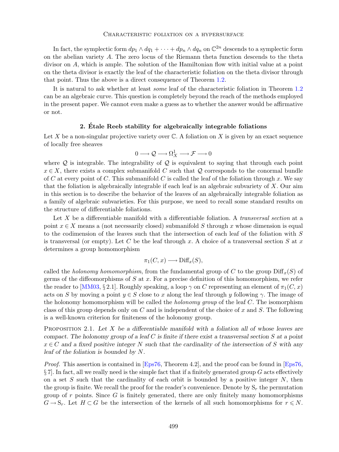In fact, the symplectic form  $dp_1 \wedge dq_1 + \cdots + dp_n \wedge dq_n$  on  $\mathbb{C}^{2n}$  descends to a symplectic form on the abelian variety A. The zero locus of the Riemann theta function descends to the theta divisor on A, which is ample. The solution of the Hamiltonian flow with initial value at a point on the theta divisor is exactly the leaf of the characteristic foliation on the theta divisor through that point. Thus the above is a direct consequence of Theorem [1.2.](#page-2-0)

It is natural to ask whether at least some leaf of the characteristic foliation in Theorem [1.2](#page-2-0) can be an algebraic curve. This question is completely beyond the reach of the methods employed in the present paper. We cannot even make a guess as to whether the answer would be affirmative or not.

# 2. Etale Reeb stability for algebraically integrable foliations ´

Let X be a non-singular projective variety over  $\mathbb C$ . A foliation on X is given by an exact sequence of locally free sheaves

$$
0 \longrightarrow \mathcal{Q} \longrightarrow \Omega^1_X \longrightarrow \mathcal{F} \longrightarrow 0
$$

where  $Q$  is integrable. The integrability of  $Q$  is equivalent to saying that through each point  $x \in X$ , there exists a complex submanifold C such that Q corresponds to the conormal bundle of C at every point of C. This submanifold C is called the leaf of the foliation through x. We say that the foliation is algebraically integrable if each leaf is an algebraic subvariety of  $X$ . Our aim in this section is to describe the behavior of the leaves of an algebraically integrable foliation as a family of algebraic subvarieties. For this purpose, we need to recall some standard results on the structure of differentiable foliations.

Let X be a differentiable manifold with a differentiable foliation. A *transversal section* at a point  $x \in X$  means a (not necessarily closed) submanifold S through x whose dimension is equal to the codimension of the leaves such that the intersection of each leaf of the foliation with S is transversal (or empty). Let C be the leaf through x. A choice of a transversal section S at x determines a group homomorphism

$$
\pi_1(C, x) \longrightarrow \text{Diff}_x(S),
$$

called the holonomy homomorphism, from the fundamental group of C to the group  $\text{Diff}_x(S)$  of germs of the diffeomorphisms of  $S$  at  $x$ . For a precise definition of this homomorphism, we refer the reader to [\[MM03,](#page-10-3) § 2.1]. Roughly speaking, a loop  $\gamma$  on C representing an element of  $\pi_1(C, x)$ acts on S by moving a point  $y \in S$  close to x along the leaf through y following  $\gamma$ . The image of the holonomy homomorphism will be called the *holonomy group* of the leaf  $C$ . The isomorphism class of this group depends only on  $C$  and is independent of the choice of  $x$  and  $S$ . The following is a well-known criterion for finiteness of the holonomy group.

<span id="page-3-0"></span>PROPOSITION 2.1. Let X be a differentiable manifold with a foliation all of whose leaves are compact. The holonomy group of a leaf  $C$  is finite if there exist a transversal section  $S$  at a point  $x \in C$  and a fixed positive integer N such that the cardinality of the intersection of S with any leaf of the foliation is bounded by N.

Proof. This assertion is contained in [\[Eps76,](#page-10-4) Theorem 4.2], and the proof can be found in [Eps76,  $\S 7$ . In fact, all we really need is the simple fact that if a finitely generated group G acts effectively on a set S such that the cardinality of each orbit is bounded by a positive integer  $N$ , then the group is finite. We recall the proof for the reader's convenience. Denote by  $S_r$  the permutation group of r points. Since  $G$  is finitely generated, there are only finitely many homomorphisms  $G \to S_r$ . Let  $H \subset G$  be the intersection of the kernels of all such homomorphisms for  $r \leq N$ .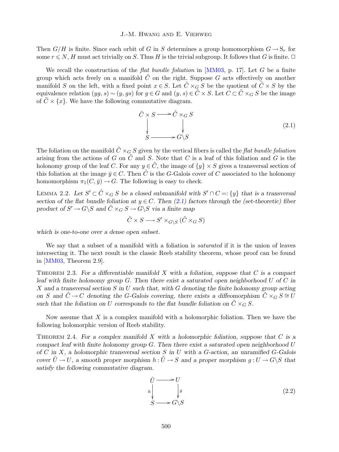Then  $G/H$  is finite. Since each orbit of G in S determines a group homomorphism  $G \to S_r$  for some  $r \le N$ , H must act trivially on S. Thus H is the trivial subgroup. It follows that G is finite.  $\Box$ 

We recall the construction of the *flat bundle foliation* in [\[MM03,](#page-10-3) p. 17]. Let  $G$  be a finite group which acts freely on a manifold  $\tilde{C}$  on the right. Suppose G acts effectively on another manifold S on the left, with a fixed point  $x \in S$ . Let  $\tilde{C} \times_G S$  be the quotient of  $\tilde{C} \times S$  by the equivalence relation  $(yg, s) \sim (y, gs)$  for  $g \in G$  and  $(y, s) \in \tilde{C} \times S$ . Let  $C \subset \tilde{C} \times_G S$  be the image of  $C \times \{x\}$ . We have the following commutative diagram.

<span id="page-4-0"></span>
$$
\tilde{C} \times S \longrightarrow \tilde{C} \times_G S
$$
\n
$$
\downarrow \qquad \qquad \downarrow
$$
\n
$$
S \longrightarrow G \backslash S
$$
\n(2.1)

The foliation on the manifold  $\tilde{C} \times_G S$  given by the vertical fibers is called the flat bundle foliation arising from the actions of G on  $\tilde{C}$  and S. Note that C is a leaf of this foliation and G is the holonomy group of the leaf C. For any  $y \in C$ , the image of  $\{y\} \times S$  gives a transversal section of this foliation at the image  $\bar{y} \in C$ . Then  $\tilde{C}$  is the G-Galois cover of C associated to the holonomy homomorphism  $\pi_1(C, \bar{y}) \to G$ . The following is easy to check.

<span id="page-4-3"></span>LEMMA 2.2. Let  $S' \subset \tilde{C} \times_G S$  be a closed submanifold with  $S' \cap C =: \{y\}$  that is a transversal section of the flat bundle foliation at  $y \in C$ . Then [\(2.1\)](#page-4-0) factors through the (set-theoretic) fiber product of  $S' \to G \ S$  and  $\tilde{C} \times_G S \to G \ S$  via a finite map

$$
\tilde{C} \times S \longrightarrow S' \times_{G \setminus S} (\tilde{C} \times_G S)
$$

which is one-to-one over a dense open subset.

We say that a subset of a manifold with a foliation is *saturated* if it is the union of leaves intersecting it. The next result is the classic Reeb stability theorem, whose proof can be found in [\[MM03,](#page-10-3) Theorem 2.9].

<span id="page-4-1"></span>THEOREM 2.3. For a differentiable manifold X with a foliation, suppose that  $C$  is a compact leaf with finite holonomy group  $G$ . Then there exist a saturated open neighborhood  $U$  of  $C$  in X and a transversal section S in U such that, with G denoting the finite holonomy group acting on S and  $\tilde{C} \to C$  denoting the G-Galois covering, there exists a diffeomorphism  $\tilde{C} \times_G S \cong U$ such that the foliation on U corresponds to the flat bundle foliation on  $\tilde{C} \times_G S$ .

Now assume that X is a complex manifold with a holomorphic foliation. Then we have the following holomorphic version of Reeb stability.

<span id="page-4-4"></span>THEOREM 2.4. For a complex manifold X with a holomorphic foliation, suppose that  $C$  is a compact leaf with finite holonomy group  $G$ . Then there exist a saturated open neighborhood U of C in X, a holomorphic transversal section S in U with a G-action, an unramified G-Galois cover  $\tilde{U} \to U$ , a smooth proper morphism  $h : \tilde{U} \to S$  and a proper morphism  $g : U \to G \ S$  that satisfy the following commutative diagram.

<span id="page-4-2"></span>
$$
\tilde{U} \longrightarrow U
$$
\n
$$
h \downarrow g
$$
\n
$$
S \longrightarrow G \setminus S
$$
\n(2.2)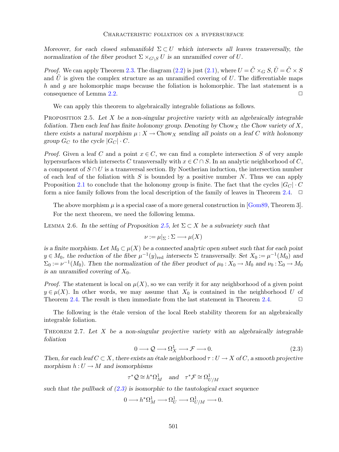#### Characteristic foliation on a hypersurface

Moreover, for each closed submanifold  $\Sigma \subset U$  which intersects all leaves transversally, the normalization of the fiber product  $\Sigma \times_{G\setminus S} U$  is an unramified cover of U.

*Proof.* We can apply Theorem [2.3.](#page-4-1) The diagram [\(2.2\)](#page-4-2) is just [\(2.1\)](#page-4-0), where  $U = \tilde{C} \times_G S$ ,  $\tilde{U} = \tilde{C} \times S$ and U is given the complex structure as an unramified covering of U. The differentiable maps h and g are holomorphic maps because the foliation is holomorphic. The last statement is a consequence of Lemma  $2.2$ .

We can apply this theorem to algebraically integrable foliations as follows.

<span id="page-5-0"></span>PROPOSITION 2.5. Let  $X$  be a non-singular projective variety with an algebraically integrable foliation. Then each leaf has finite holonomy group. Denoting by Chow x the Chow variety of X, there exists a natural morphism  $\mu: X \to \text{Chow}_X$  sending all points on a leaf C with holonomy group  $G_C$  to the cycle  $|G_C| \cdot C$ .

*Proof.* Given a leaf C and a point  $x \in C$ , we can find a complete intersection S of very ample hypersurfaces which intersects C transversally with  $x \in C \cap S$ . In an analytic neighborhood of C, a component of  $S \cap U$  is a transversal section. By Noetherian induction, the intersection number of each leaf of the foliation with S is bounded by a positive number N. Thus we can apply Proposition [2.1](#page-3-0) to conclude that the holonomy group is finite. The fact that the cycles  $|G_C| \cdot C$ form a nice family follows from the local description of the family of leaves in Theorem [2.4.](#page-4-4)  $\Box$ 

The above morphism  $\mu$  is a special case of a more general construction in [\[Gom89,](#page-10-5) Theorem 3]. For the next theorem, we need the following lemma.

<span id="page-5-2"></span>LEMMA 2.6. In the setting of Proposition [2.5,](#page-5-0) let  $\Sigma \subset X$  be a subvariety such that

$$
\nu := \mu|_{\Sigma} : \Sigma \longrightarrow \mu(X)
$$

is a finite morphism. Let  $M_0 \subset \mu(X)$  be a connected analytic open subset such that for each point  $y \in M_0$ , the reduction of the fiber  $\mu^{-1}(y)_{\text{red}}$  intersects  $\Sigma$  transversally. Set  $X_0 := \mu^{-1}(M_0)$  and  $\Sigma_0 := \nu^{-1}(M_0)$ . Then the normalization of the fiber product of  $\mu_0 : X_0 \to M_0$  and  $\nu_0 : \Sigma_0 \to M_0$ is an unramified covering of  $X_0$ .

*Proof.* The statement is local on  $\mu(X)$ , so we can verify it for any neighborhood of a given point  $y \in \mu(X)$ . In other words, we may assume that  $X_0$  is contained in the neighborhood U of Theorem [2.4.](#page-4-4) The result is then immediate from the last statement in Theorem 2.4.  $\Box$ 

The following is the *étale* version of the local Reeb stability theorem for an algebraically integrable foliation.

<span id="page-5-3"></span>THEOREM 2.7. Let X be a non-singular projective variety with an algebraically integrable foliation

<span id="page-5-1"></span>
$$
0 \longrightarrow \mathcal{Q} \longrightarrow \Omega_X^1 \longrightarrow \mathcal{F} \longrightarrow 0. \tag{2.3}
$$

Then, for each leaf  $C \subset X$ , there exists an étale neighborhood  $\tau : U \to X$  of C, a smooth projective morphism  $h: U \to M$  and isomorphisms

$$
\tau^* \mathcal{Q} \cong h^* \Omega^1_M \quad \text{and} \quad \tau^* \mathcal{F} \cong \Omega^1_{U/M}
$$

such that the pullback of  $(2.3)$  is isomorphic to the tautological exact sequence

 $0 \longrightarrow h^* \Omega^1_M \longrightarrow \Omega^1_U \longrightarrow \Omega^1_{U/M} \longrightarrow 0.$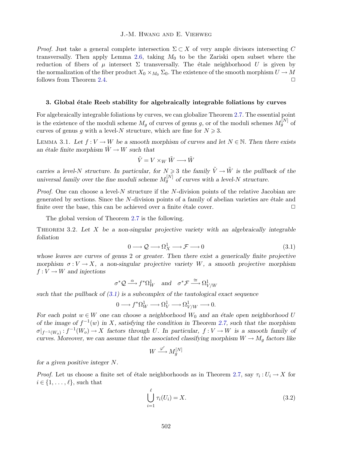*Proof.* Just take a general complete intersection  $\Sigma \subset X$  of very ample divisors intersecting C transversally. Then apply Lemma [2.6,](#page-5-2) taking  $M_0$  to be the Zariski open subset where the reduction of fibers of  $\mu$  intersect  $\Sigma$  transversally. The étale neighborhood U is given by the normalization of the fiber product  $X_0 \times_{M_0} \Sigma_0$ . The existence of the smooth morphism  $U \to M$ follows from Theorem [2.4.](#page-4-4)  $\Box$ 

## 3. Global étale Reeb stability for algebraically integrable foliations by curves

For algebraically integrable foliations by curves, we can globalize Theorem [2.7.](#page-5-3) The essential point is the existence of the moduli scheme  $M_g$  of curves of genus g, or of the moduli schemes  $M_g^{[N]}$  of curves of genus g with a level-N structure, which are fine for  $N \geq 3$ .

<span id="page-6-2"></span>LEMMA 3.1. Let  $f: V \to W$  be a smooth morphism of curves and let  $N \in \mathbb{N}$ . Then there exists an étale finite morphism  $\tilde{W} \to W$  such that

$$
\tilde{V}=V\times_W\tilde{W}\longrightarrow \tilde{W}
$$

carries a level-N structure. In particular, for  $N \geq 3$  the family  $\tilde{V} \to \tilde{W}$  is the pullback of the universal family over the fine moduli scheme  $M_g^{[N]}$  of curves with a level-N structure.

*Proof.* One can choose a level- $N$  structure if the  $N$ -division points of the relative Jacobian are generated by sections. Since the  $N$ -division points of a family of abelian varieties are  $\acute{e}$ tale and finite over the base, this can be achieved over a finite étale cover.  $\Box$ 

The global version of Theorem [2.7](#page-5-3) is the following.

<span id="page-6-3"></span>THEOREM 3.2. Let  $X$  be a non-singular projective variety with an algebraically integrable foliation

<span id="page-6-0"></span>
$$
0 \longrightarrow \mathcal{Q} \longrightarrow \Omega_X^1 \longrightarrow \mathcal{F} \longrightarrow 0 \tag{3.1}
$$

whose leaves are curves of genus 2 or greater. Then there exist a generically finite projective morphism  $\sigma: V \to X$ , a non-singular projective variety W, a smooth projective morphism  $f: V \to W$  and injections

$$
\sigma^* \mathcal{Q} \stackrel{\alpha}{\longrightarrow} f^* \Omega^1_W
$$
 and  $\sigma^* \mathcal{F} \stackrel{\cong}{\longrightarrow} \Omega^1_{V/W}$ 

such that the pullback of  $(3.1)$  is a subcomplex of the tautological exact sequence

$$
0\longrightarrow f^*\Omega^1_W\longrightarrow \Omega^1_V\longrightarrow \Omega^1_{V/W}\longrightarrow 0.
$$

For each point  $w \in W$  one can choose a neighborhood  $W_0$  and an étale open neighborhood U of the image of  $f^{-1}(w)$  in X, satisfying the condition in Theorem [2.7,](#page-5-3) such that the morphism  $\sigma|_{f^{-1}(W_o)}: f^{-1}(W_o) \to X$  factors through U. In particular,  $f: V \to W$  is a smooth family of curves. Moreover, we can assume that the associated classifying morphism  $W \to M_g$  factors like

$$
W \xrightarrow{\varphi'} M_g^{[N]}
$$

for a given positive integer N.

*Proof.* Let us choose a finite set of étale neighborhoods as in Theorem [2.7,](#page-5-3) say  $\tau_i: U_i \to X$  for  $i \in \{1, \ldots, \ell\}$ , such that

<span id="page-6-1"></span>
$$
\bigcup_{i=1}^{\ell} \tau_i(U_i) = X. \tag{3.2}
$$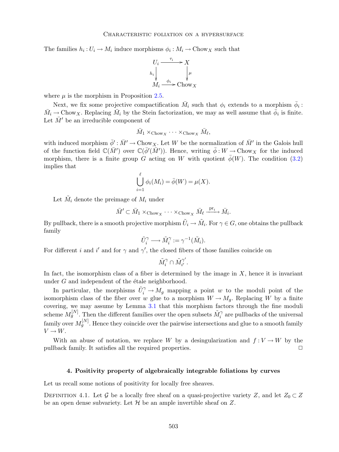The families  $h_i: U_i \to M_i$  induce morphisms  $\phi_i: M_i \to \text{Chow}_X$  such that



where  $\mu$  is the morphism in Proposition [2.5.](#page-5-0)

Next, we fix some projective compactification  $\bar{M}_i$  such that  $\phi_i$  extends to a morphism  $\bar{\phi}_i$ :  $\bar{M}_i \to \text{Chow}_X$ . Replacing  $\bar{M}_i$  by the Stein factorization, we may as well assume that  $\bar{\phi}_i$  is finite. Let  $\bar{M}'$  be an irreducible component of

$$
\bar{M}_1 \times_{\mathrm{Chow}_X} \cdots \times_{\mathrm{Chow}_X} \bar{M}_{\ell},
$$

with induced morphism  $\bar{\phi}' : \bar{M}' \to \text{Chow}_X$ . Let W be the normalization of  $\bar{M}'$  in the Galois hull of the function field  $\mathbb{C}(\bar{M}')$  over  $\mathbb{C}(\bar{\phi}'(\bar{M}'))$ . Hence, writing  $\bar{\phi}: W \to \text{Chow}_X$  for the induced morphism, there is a finite group G acting on W with quotient  $\bar{\phi}(W)$ . The condition [\(3.2\)](#page-6-1) implies that

$$
\bigcup_{i=1}^{\ell} \phi_i(M_i) = \overline{\phi}(W) = \mu(X).
$$

Let  $\tilde{M}_i$  denote the preimage of  $M_i$  under

$$
\bar{M}' \subset \bar{M}_1 \times_{\mathrm{Chow}_X} \cdots \times_{\mathrm{Chow}_X} \bar{M}_\ell \xrightarrow{\mathrm{pr}_i} \bar{M}_i.
$$

By pullback, there is a smooth projective morphism  $\tilde{U}_i \to \tilde{M}_i$ . For  $\gamma \in G$ , one obtains the pullback family

$$
\tilde{U}_i^{\gamma} \longrightarrow \tilde{M}_i^{\gamma} := \gamma^{-1}(\tilde{M}_i).
$$

For different i and i' and for  $\gamma$  and  $\gamma'$ , the closed fibers of those families coincide on

<span id="page-7-0"></span>
$$
\tilde{M}_i^\gamma \cap \tilde{M}_{i'}^{\gamma'}.
$$

In fact, the isomorphism class of a fiber is determined by the image in  $X$ , hence it is invariant under  $G$  and independent of the étale neighborhood.

In particular, the morphisms  $\tilde{U}_i^{\gamma} \to M_g$  mapping a point w to the moduli point of the isomorphism class of the fiber over w glue to a morphism  $W \to M_q$ . Replacing W by a finite covering, we may assume by Lemma [3.1](#page-6-2) that this morphism factors through the fine moduli scheme  $M_g^{[N]}$ . Then the different families over the open subsets  $\tilde{M}_i^{\gamma}$  are pullbacks of the universal family over  $M_g^{[N]}$ . Hence they coincide over the pairwise intersections and glue to a smooth family  $V \rightarrow W$ .

With an abuse of notation, we replace W by a desingularization and  $f: V \to W$  by the pullback family. It satisfies all the required properties.

## 4. Positivity property of algebraically integrable foliations by curves

Let us recall some notions of positivity for locally free sheaves.

DEFINITION 4.1. Let G be a locally free sheaf on a quasi-projective variety Z, and let  $Z_0 \subset Z$ be an open dense subvariety. Let  $H$  be an ample invertible sheaf on  $Z$ .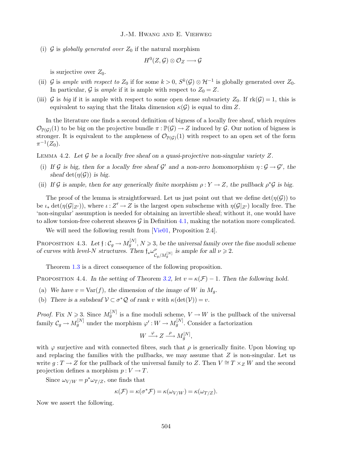(i)  $\mathcal G$  is globally generated over  $Z_0$  if the natural morphism

$$
H^0(Z,\mathcal{G})\otimes \mathcal{O}_Z\longrightarrow \mathcal{G}
$$

is surjective over  $Z_0$ .

- (ii)  $\mathcal G$  is ample with respect to  $Z_0$  if for some  $k > 0$ ,  $S^k(\mathcal G) \otimes \mathcal H^{-1}$  is globally generated over  $Z_0$ . In particular, G is ample if it is ample with respect to  $Z_0 = Z$ .
- (iii) G is big if it is ample with respect to some open dense subvariety  $Z_0$ . If  $rk(G) = 1$ , this is equivalent to saying that the Iitaka dimension  $\kappa(\mathcal{G})$  is equal to dim Z.

In the literature one finds a second definition of bigness of a locally free sheaf, which requires  $\mathcal{O}_{\mathbb{P}(\mathcal{G})}(1)$  to be big on the projective bundle  $\pi : \mathbb{P}(\mathcal{G}) \to Z$  induced by  $\mathcal{G}$ . Our notion of bigness is stronger. It is equivalent to the ampleness of  $\mathcal{O}_{\mathbb{P}(\mathcal{G})}(1)$  with respect to an open set of the form  $\pi^{-1}(Z_0).$ 

<span id="page-8-2"></span>LEMMA 4.2. Let G be a locally free sheaf on a quasi-projective non-singular variety  $Z$ .

- (i) If G is big, then for a locally free sheaf  $\mathcal{G}'$  and a non-zero homomorphism  $\eta : \mathcal{G} \to \mathcal{G}'$ , the sheaf det $(\eta(\mathcal{G}))$  is big.
- (ii) If G is ample, then for any generically finite morphism  $\rho: Y \to Z$ , the pullback  $\rho^* \mathcal{G}$  is big.

The proof of the lemma is straightforward. Let us just point out that we define  $\det(\eta(\mathcal{G}))$  to be  $\iota_* \det(\eta(\mathcal{G}|_{Z'}))$ , where  $\iota : Z' \to Z$  is the largest open subscheme with  $\eta(\mathcal{G}|_{Z'})$  locally free. The 'non-singular' assumption is needed for obtaining an invertible sheaf; without it, one would have to allow torsion-free coherent sheaves  $\mathcal G$  in Definition [4.1,](#page-7-0) making the notation more complicated.

We will need the following result from [\[Vie01,](#page-10-1) Proposition 2.4].

<span id="page-8-1"></span>PROPOSITION 4.3. Let  $f: C_g \to M_g^{[N]}$ ,  $N \geqslant 3$ , be the universal family over the fine moduli scheme of curves with level-N structures. Then  $\mathfrak{f}_*\omega_{\mathcal{C}_g/M_g^{[N]}}^{\nu}$  is ample for all  $\nu \geq 2$ .

Theorem [1.3](#page-2-1) is a direct consequence of the following proposition.

<span id="page-8-0"></span>PROPOSITION 4.4. In the setting of Theorem [3.2,](#page-6-3) let  $v = \kappa(\mathcal{F}) - 1$ . Then the following hold.

- (a) We have  $v = \text{Var}(f)$ , the dimension of the image of W in  $M_q$ .
- (b) There is a subsheaf  $V \subset \sigma^* \mathcal{Q}$  of rank v with  $\kappa(\det(V)) = v$ .

*Proof.* Fix  $N \ge 3$ . Since  $M_g^{[N]}$  is a fine moduli scheme,  $V \to W$  is the pullback of the universal family  $\mathcal{C}_g \to M_g^{[N]}$  under the morphism  $\varphi': W \to M_g^{[N]}$ . Consider a factorization

$$
W \xrightarrow{\varphi} Z \xrightarrow{\rho} M_g^{[N]},
$$

with  $\varphi$  surjective and with connected fibres, such that  $\rho$  is generically finite. Upon blowing up and replacing the families with the pullbacks, we may assume that  $Z$  is non-singular. Let us write  $q: T \to Z$  for the pullback of the universal family to Z. Then  $V \cong T \times Z$  W and the second projection defines a morphism  $p: V \to T$ .

Since  $\omega_{V/W} = p^* \omega_{T/Z}$ , one finds that

$$
\kappa(\mathcal{F}) = \kappa(\sigma^* \mathcal{F}) = \kappa(\omega_{V/W}) = \kappa(\omega_{T/Z}).
$$

Now we assert the following.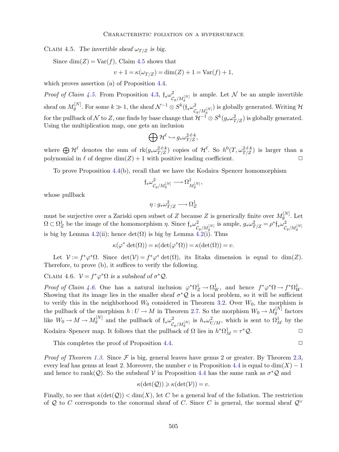<span id="page-9-0"></span>CLAIM 4.5. The invertible sheaf  $\omega_{T/Z}$  is big.

Since  $\dim(Z) = \text{Var}(f)$ , Claim [4.5](#page-9-0) shows that

$$
v + 1 = \kappa(\omega_{T/Z}) = \dim(Z) + 1 = \text{Var}(f) + 1,
$$

which proves assertion (a) of Proposition [4.4.](#page-8-0)

*Proof of Claim [4.5.](#page-9-0)* From Proposition [4.3,](#page-8-1)  $\oint_* \omega_{C_g/M_g}^2$  is ample. Let N be an ample invertible g sheaf on  $M_g^{[N]}$ . For some  $k \gg 1$ , the sheaf  $\mathcal{N}^{-1} \otimes S^k(\mathfrak{f}_*\omega^2_{\mathcal{C}_g/M_g^{[N]}})$  is globally generated. Writing  $\mathcal{H}$ for the pullback of  $\mathcal N$  to  $Z$ , one finds by base change that  $\mathcal H^{-1}\otimes S^k(g_*\omega^2_{T/Z})$  is globally generated. Using the multiplication map, one gets an inclusion

$$
\bigoplus\mathcal{H}^\ell\hookrightarrow g_*\omega_{T/Z}^{2\cdot\ell\cdot k},
$$

where  $\bigoplus \mathcal{H}^{\ell}$  denotes the sum of  $\text{rk}(g_*\omega_{T/Z}^{2\cdot\ell\cdot k})$  copies of  $\mathcal{H}^{\ell}$ . So  $h^0(T,\omega_{T/Z}^{2\cdot\ell\cdot k})$  is larger than a polynomial in  $\ell$  of degree  $\dim(Z) + 1$  with positive leading coefficient.

To prove Proposition [4.4\(](#page-8-0)b), recall that we have the Kodaira–Spencer homomorphism

$$
\mathfrak{f}_*\omega^2_{\mathcal{C}_g/M_g^{[N]}}\longrightarrow \Omega^1_{M_g^{[N]}},
$$

whose pullback

$$
\eta: g_*\omega^2_{T/Z} \longrightarrow \Omega^1_Z
$$

must be surjective over a Zariski open subset of Z because Z is generically finite over  $M_g^{[N]}$ . Let  $\Omega \subset \Omega_Z^1$  be the image of the homomorphism  $\eta$ . Since  $\mathfrak{f}_*\omega_{\mathcal{C}_g/M_g^{[N]}}^2$  is ample,  $g_*\omega_{T/Z}^2 = \rho^* \mathfrak{f}_*\omega_{\mathcal{C}_g/M_g^{[N]}}^2$ is big by Lemma [4.2\(](#page-8-2)ii); hence  $\det(\Omega)$  is big by Lemma  $\det^2(1)$ . Thus

$$
\kappa(\varphi^* \det(\Omega)) = \kappa(\det(\varphi^* \Omega)) = \kappa(\det(\Omega)) = v.
$$

Let  $\mathcal{V} := f^* \varphi^* \Omega$ . Since  $\det(\mathcal{V}) = f^* \varphi^* \det(\Omega)$ , its Iitaka dimension is equal to  $\dim(Z)$ . Therefore, to prove (b), it suffices to verify the following.

<span id="page-9-1"></span>CLAIM 4.6.  $V = f^* \varphi^* \Omega$  is a subsheaf of  $\sigma^* \mathcal{Q}$ .

Proof of Claim [4.6.](#page-9-1) One has a natural inclusion  $\varphi^* \Omega_Z^1 \to \Omega_W^1$ , and hence  $f^* \varphi^* \Omega \to f^* \Omega_W^1$ . Showing that its image lies in the smaller sheaf  $\sigma^* \mathcal{Q}$  is a local problem, so it will be sufficient to verify this in the neighborhood  $W_0$  considered in Theorem [3.2.](#page-6-3) Over  $W_0$ , the morphism is the pullback of the morphism  $h: U \to M$  in Theorem [2.7.](#page-5-3) So the morphism  $W_0 \to M_g^{[N]}$  factors like  $W_0 \to M \to M_g^{[N]}$  and the pullback of  $\mathfrak{f}_*\omega^2_{\mathcal{C}_g/M_g^{[N]}}$  is  $h_*\omega^2_{U/M}$ , which is sent to  $\Omega^1_M$  by the Kodaira–Spencer map. It follows that the pullback of  $\Omega$  lies in  $h^*\Omega_M^1 = \tau$  $*Q$ .  $\Box$ 

This completes the proof of Proposition  $4.4$ .  $\Box$ 

*Proof of Theorem [1.3.](#page-2-1)* Since  $\mathcal F$  is big, general leaves have genus 2 or greater. By Theorem [2.3,](#page-4-1) every leaf has genus at least 2. Moreover, the number v in Proposition [4.4](#page-8-0) is equal to dim(X) – 1 and hence to rank(Q). So the subsheaf V in Proposition [4.4](#page-8-0) has the same rank as  $\sigma^*Q$  and

$$
\kappa(\det(Q)) \geqslant \kappa(\det(\mathcal{V})) = v.
$$

Finally, to see that  $\kappa(\det(Q)) < \dim(X)$ , let C be a general leaf of the foliation. The restriction of Q to C corresponds to the conormal sheaf of C. Since C is general, the normal sheaf  $\mathcal{Q}^{\vee}$